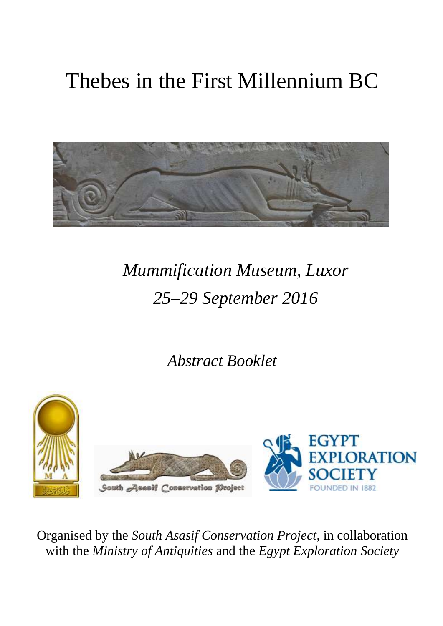# Thebes in the First Millennium BC



# *Mummification Museum, Luxor 25–29 September 2016*

*Abstract Booklet*



Organised by the *South Asasif Conservation Project*, in collaboration with the *Ministry of Antiquities* and the *Egypt Exploration Society*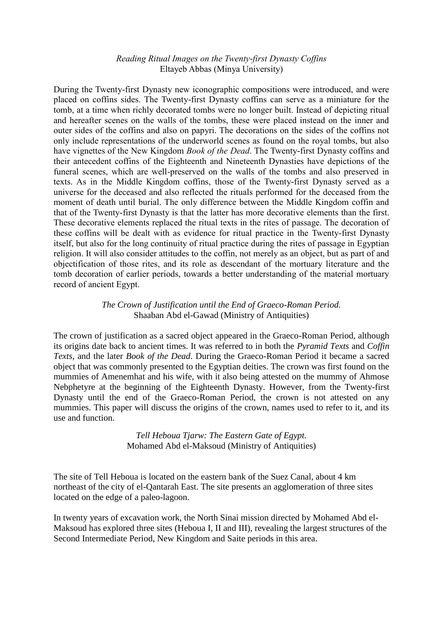### *Reading Ritual Images on the Twenty-first Dynasty Coffins* Eltayeb Abbas (Minya University)

During the Twenty-first Dynasty new iconographic compositions were introduced, and were placed on coffins sides. The Twenty-first Dynasty coffins can serve as a miniature for the tomb, at a time when richly decorated tombs were no longer built. Instead of depicting ritual and hereafter scenes on the walls of the tombs, these were placed instead on the inner and outer sides of the coffins and also on papyri. The decorations on the sides of the coffins not only include representations of the underworld scenes as found on the royal tombs, but also have vignettes of the New Kingdom *Book of the Dead*. The Twenty-first Dynasty coffins and their antecedent coffins of the Eighteenth and Nineteenth Dynasties have depictions of the funeral scenes, which are well-preserved on the walls of the tombs and also preserved in texts. As in the Middle Kingdom coffins, those of the Twenty-first Dynasty served as a universe for the deceased and also reflected the rituals performed for the deceased from the moment of death until burial. The only difference between the Middle Kingdom coffin and that of the Twenty-first Dynasty is that the latter has more decorative elements than the first. These decorative elements replaced the ritual texts in the rites of passage. The decoration of these coffins will be dealt with as evidence for ritual practice in the Twenty-first Dynasty itself, but also for the long continuity of ritual practice during the rites of passage in Egyptian religion. It will also consider attitudes to the coffin, not merely as an object, but as part of and objectification of those rites, and its role as descendant of the mortuary literature and the tomb decoration of earlier periods, towards a better understanding of the material mortuary record of ancient Egypt.

> *The Crown of Justification until the End of Graeco-Roman Period.* Shaaban Abd el-Gawad (Ministry of Antiquities)

The crown of justification as a sacred object appeared in the Graeco-Roman Period, although its origins date back to ancient times. It was referred to in both the *Pyramid Texts* and *Coffin Texts*, and the later *Book of the Dead*. During the Graeco-Roman Period it became a sacred object that was commonly presented to the Egyptian deities. The crown was first found on the mummies of Amenemhat and his wife, with it also being attested on the mummy of Ahmose Nebphetyre at the beginning of the Eighteenth Dynasty. However, from the Twenty-first Dynasty until the end of the Graeco-Roman Period, the crown is not attested on any mummies. This paper will discuss the origins of the crown, names used to refer to it, and its use and function.

> *Tell Heboua Tjarw: The Eastern Gate of Egypt.* Mohamed Abd el-Maksoud (Ministry of Antiquities)

The site of Tell Heboua is located on the eastern bank of the Suez Canal, about 4 km northeast of the city of el-Qantarah East. The site presents an agglomeration of three sites located on the edge of a paleo-lagoon.

In twenty years of excavation work, the North Sinai mission directed by Mohamed Abd el-Maksoud has explored three sites (Heboua I, II and III), revealing the largest structures of the Second Intermediate Period, New Kingdom and Saite periods in this area.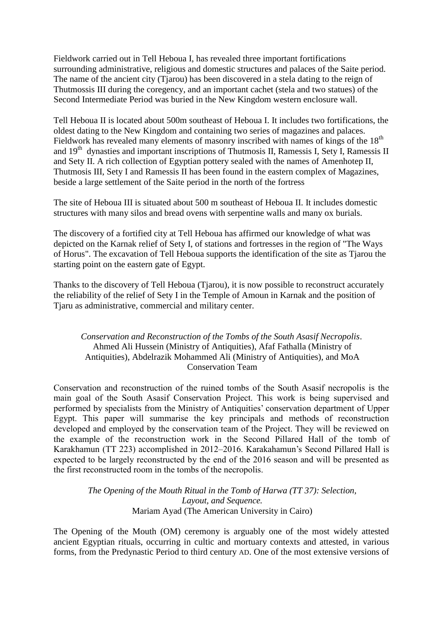Fieldwork carried out in Tell Heboua I, has revealed three important fortifications surrounding administrative, religious and domestic structures and palaces of the Saite period. The name of the ancient city (Tjarou) has been discovered in a stela dating to the reign of Thutmossis III during the coregency, and an important cachet (stela and two statues) of the Second Intermediate Period was buried in the New Kingdom western enclosure wall.

Tell Heboua II is located about 500m southeast of Heboua I. It includes two fortifications, the oldest dating to the New Kingdom and containing two series of magazines and palaces. Fieldwork has revealed many elements of masonry inscribed with names of kings of the  $18<sup>th</sup>$ and 19<sup>th</sup> dynasties and important inscriptions of Thutmosis II, Ramessis I, Sety I, Ramessis II and Sety II. A rich collection of Egyptian pottery sealed with the names of Amenhotep II, Thutmosis III, Sety I and Ramessis II has been found in the eastern complex of Magazines, beside a large settlement of the Saite period in the north of the fortress

The site of Heboua III is situated about 500 m southeast of Heboua II. It includes domestic structures with many silos and bread ovens with serpentine walls and many ox burials.

The discovery of a fortified city at Tell Heboua has affirmed our knowledge of what was depicted on the Karnak relief of Sety I, of stations and fortresses in the region of "The Ways of Horus". The excavation of Tell Heboua supports the identification of the site as Tjarou the starting point on the eastern gate of Egypt.

Thanks to the discovery of Tell Heboua (Tjarou), it is now possible to reconstruct accurately the reliability of the relief of Sety I in the Temple of Amoun in Karnak and the position of Tiaru as administrative, commercial and military center.

# *Conservation and Reconstruction of the Tombs of the South Asasif Necropolis*. Ahmed Ali Hussein (Ministry of Antiquities), Afaf Fathalla (Ministry of Antiquities), Abdelrazik Mohammed Ali (Ministry of Antiquities), and MoA Conservation Team

Conservation and reconstruction of the ruined tombs of the South Asasif necropolis is the main goal of the South Asasif Conservation Project. This work is being supervised and performed by specialists from the Ministry of Antiquities' conservation department of Upper Egypt. This paper will summarise the key principals and methods of reconstruction developed and employed by the conservation team of the Project. They will be reviewed on the example of the reconstruction work in the Second Pillared Hall of the tomb of Karakhamun (TT 223) accomplished in 2012–2016. Karakahamun's Second Pillared Hall is expected to be largely reconstructed by the end of the 2016 season and will be presented as the first reconstructed room in the tombs of the necropolis.

> *The Opening of the Mouth Ritual in the Tomb of Harwa (TT 37): Selection, Layout, and Sequence.* Mariam Ayad (The American University in Cairo)

The Opening of the Mouth (OM) ceremony is arguably one of the most widely attested ancient Egyptian rituals, occurring in cultic and mortuary contexts and attested, in various forms, from the Predynastic Period to third century AD. One of the most extensive versions of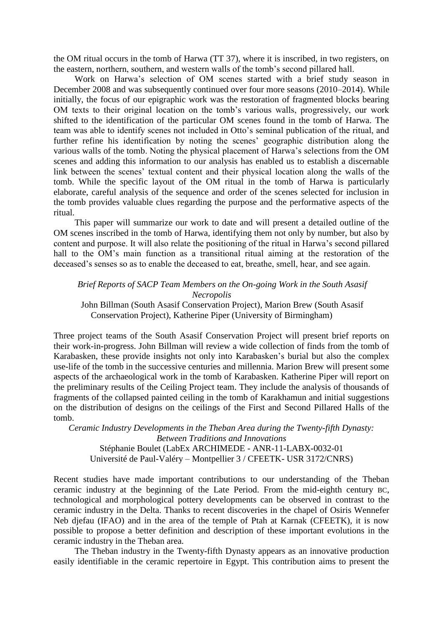the OM ritual occurs in the tomb of Harwa (TT 37), where it is inscribed, in two registers, on the eastern, northern, southern, and western walls of the tomb's second pillared hall.

Work on Harwa's selection of OM scenes started with a brief study season in December 2008 and was subsequently continued over four more seasons (2010–2014). While initially, the focus of our epigraphic work was the restoration of fragmented blocks bearing OM texts to their original location on the tomb's various walls, progressively, our work shifted to the identification of the particular OM scenes found in the tomb of Harwa. The team was able to identify scenes not included in Otto's seminal publication of the ritual, and further refine his identification by noting the scenes' geographic distribution along the various walls of the tomb. Noting the physical placement of Harwa's selections from the OM scenes and adding this information to our analysis has enabled us to establish a discernable link between the scenes' textual content and their physical location along the walls of the tomb. While the specific layout of the OM ritual in the tomb of Harwa is particularly elaborate, careful analysis of the sequence and order of the scenes selected for inclusion in the tomb provides valuable clues regarding the purpose and the performative aspects of the ritual.

This paper will summarize our work to date and will present a detailed outline of the OM scenes inscribed in the tomb of Harwa, identifying them not only by number, but also by content and purpose. It will also relate the positioning of the ritual in Harwa's second pillared hall to the OM's main function as a transitional ritual aiming at the restoration of the deceased's senses so as to enable the deceased to eat, breathe, smell, hear, and see again.

*Brief Reports of SACP Team Members on the On-going Work in the South Asasif Necropolis* John Billman (South Asasif Conservation Project), Marion Brew (South Asasif Conservation Project), Katherine Piper (University of Birmingham)

Three project teams of the South Asasif Conservation Project will present brief reports on their work-in-progress. John Billman will review a wide collection of finds from the tomb of Karabasken, these provide insights not only into Karabasken's burial but also the complex use-life of the tomb in the successive centuries and millennia. Marion Brew will present some aspects of the archaeological work in the tomb of Karabasken. Katherine Piper will report on the preliminary results of the Ceiling Project team. They include the analysis of thousands of fragments of the collapsed painted ceiling in the tomb of Karakhamun and initial suggestions on the distribution of designs on the ceilings of the First and Second Pillared Halls of the tomb.

*Ceramic Industry Developments in the Theban Area during the Twenty-fifth Dynasty: Between Traditions and Innovations* Stéphanie Boulet (LabEx ARCHIMEDE - ANR-11-LABX-0032-01 Université de Paul-Valéry – Montpellier 3 / CFEETK- USR 3172/CNRS)

Recent studies have made important contributions to our understanding of the Theban ceramic industry at the beginning of the Late Period. From the mid-eighth century BC, technological and morphological pottery developments can be observed in contrast to the ceramic industry in the Delta. Thanks to recent discoveries in the chapel of Osiris Wennefer Neb djefau (IFAO) and in the area of the temple of Ptah at Karnak (CFEETK), it is now possible to propose a better definition and description of these important evolutions in the ceramic industry in the Theban area.

The Theban industry in the Twenty-fifth Dynasty appears as an innovative production easily identifiable in the ceramic repertoire in Egypt. This contribution aims to present the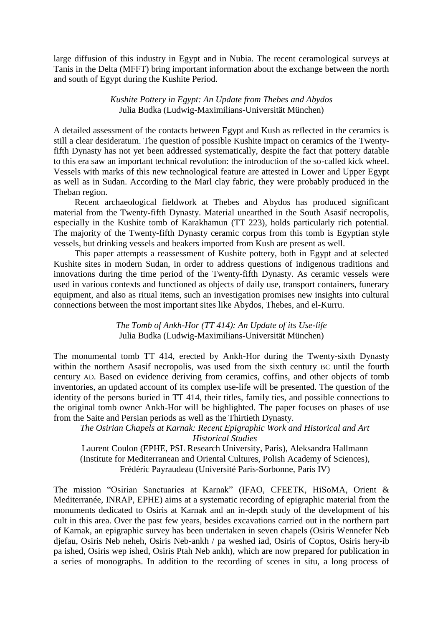large diffusion of this industry in Egypt and in Nubia. The recent ceramological surveys at Tanis in the Delta (MFFT) bring important information about the exchange between the north and south of Egypt during the Kushite Period.

#### *Kushite Pottery in Egypt: An Update from Thebes and Abydos* Julia Budka (Ludwig-Maximilians-Universität München)

A detailed assessment of the contacts between Egypt and Kush as reflected in the ceramics is still a clear desideratum. The question of possible Kushite impact on ceramics of the Twentyfifth Dynasty has not yet been addressed systematically, despite the fact that pottery datable to this era saw an important technical revolution: the introduction of the so-called kick wheel. Vessels with marks of this new technological feature are attested in Lower and Upper Egypt as well as in Sudan. According to the Marl clay fabric, they were probably produced in the Theban region.

Recent archaeological fieldwork at Thebes and Abydos has produced significant material from the Twenty-fifth Dynasty. Material unearthed in the South Asasif necropolis, especially in the Kushite tomb of Karakhamun (TT 223), holds particularly rich potential. The majority of the Twenty-fifth Dynasty ceramic corpus from this tomb is Egyptian style vessels, but drinking vessels and beakers imported from Kush are present as well.

This paper attempts a reassessment of Kushite pottery, both in Egypt and at selected Kushite sites in modern Sudan, in order to address questions of indigenous traditions and innovations during the time period of the Twenty-fifth Dynasty. As ceramic vessels were used in various contexts and functioned as objects of daily use, transport containers, funerary equipment, and also as ritual items, such an investigation promises new insights into cultural connections between the most important sites like Abydos, Thebes, and el-Kurru.

#### *The Tomb of Ankh-Hor (TT 414): An Update of its Use-life*  Julia Budka (Ludwig-Maximilians-Universität München)

The monumental tomb TT 414, erected by Ankh-Hor during the Twenty-sixth Dynasty within the northern Asasif necropolis, was used from the sixth century BC until the fourth century AD. Based on evidence deriving from ceramics, coffins, and other objects of tomb inventories, an updated account of its complex use-life will be presented. The question of the identity of the persons buried in TT 414, their titles, family ties, and possible connections to the original tomb owner Ankh-Hor will be highlighted. The paper focuses on phases of use from the Saite and Persian periods as well as the Thirtieth Dynasty.

*The Osirian Chapels at Karnak: Recent Epigraphic Work and Historical and Art Historical Studies*

Laurent Coulon (EPHE, PSL Research University, Paris), Aleksandra Hallmann (Institute for Mediterranean and Oriental Cultures, Polish Academy of Sciences), Frédéric Payraudeau (Université Paris-Sorbonne, Paris IV)

The mission "Osirian Sanctuaries at Karnak" (IFAO, CFEETK, HiSoMA, Orient & Mediterranée, INRAP, EPHE) aims at a systematic recording of epigraphic material from the monuments dedicated to Osiris at Karnak and an in-depth study of the development of his cult in this area. Over the past few years, besides excavations carried out in the northern part of Karnak, an epigraphic survey has been undertaken in seven chapels (Osiris Wennefer Neb djefau, Osiris Neb neheh, Osiris Neb-ankh / pa weshed iad, Osiris of Coptos, Osiris hery-ib pa ished, Osiris wep ished, Osiris Ptah Neb ankh), which are now prepared for publication in a series of monographs. In addition to the recording of scenes in situ, a long process of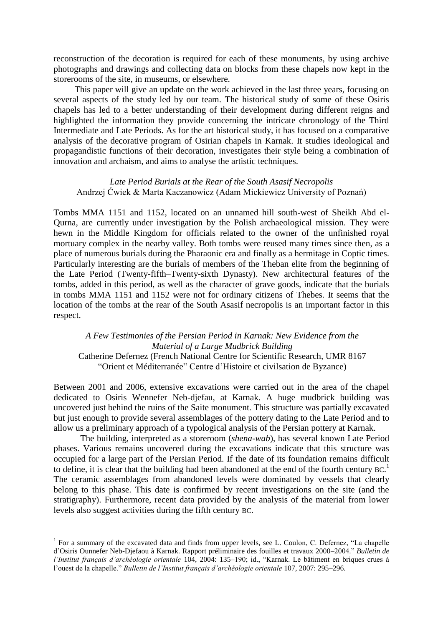reconstruction of the decoration is required for each of these monuments, by using archive photographs and drawings and collecting data on blocks from these chapels now kept in the storerooms of the site, in museums, or elsewhere.

This paper will give an update on the work achieved in the last three years, focusing on several aspects of the study led by our team. The historical study of some of these Osiris chapels has led to a better understanding of their development during different reigns and highlighted the information they provide concerning the intricate chronology of the Third Intermediate and Late Periods. As for the art historical study, it has focused on a comparative analysis of the decorative program of Osirian chapels in Karnak. It studies ideological and propagandistic functions of their decoration, investigates their style being a combination of innovation and archaism, and aims to analyse the artistic techniques.

#### *Late Period Burials at the Rear of the South Asasif Necropolis* Andrzej Ćwiek & Marta Kaczanowicz (Adam Mickiewicz University of Poznań)

Tombs MMA 1151 and 1152, located on an unnamed hill south-west of Sheikh Abd el-Qurna, are currently under investigation by the Polish archaeological mission. They were hewn in the Middle Kingdom for officials related to the owner of the unfinished royal mortuary complex in the nearby valley. Both tombs were reused many times since then, as a place of numerous burials during the Pharaonic era and finally as a hermitage in Coptic times. Particularly interesting are the burials of members of the Theban elite from the beginning of the Late Period (Twenty-fifth–Twenty-sixth Dynasty). New architectural features of the tombs, added in this period, as well as the character of grave goods, indicate that the burials in tombs MMA 1151 and 1152 were not for ordinary citizens of Thebes. It seems that the location of the tombs at the rear of the South Asasif necropolis is an important factor in this respect.

*A Few Testimonies of the Persian Period in Karnak: New Evidence from the Material of a Large Mudbrick Building* Catherine Defernez [\(French National Centre for Scientific Research,](https://cnrs.academia.edu/) [UMR 8167](https://cnrs.academia.edu/Departments/UMR_8167_Orient_et_M%C3%A9diterran%C3%A9e_Centre_d_Histoire_et_civilsation_de_Byzance)  ―Orient et Méditerranée‖ [Centre d'Histoire et civilsation de Byzance\)](https://cnrs.academia.edu/Departments/UMR_8167_Orient_et_M%C3%A9diterran%C3%A9e_Centre_d_Histoire_et_civilsation_de_Byzance)

Between 2001 and 2006, extensive excavations were carried out in the area of the chapel dedicated to Osiris Wennefer Neb-djefau, at Karnak. A huge mudbrick building was uncovered just behind the ruins of the Saite monument. This structure was partially excavated but just enough to provide several assemblages of the pottery dating to the Late Period and to allow us a preliminary approach of a typological analysis of the Persian pottery at Karnak.

The building, interpreted as a storeroom (*shena-wab*), has several known Late Period phases. Various remains uncovered during the excavations indicate that this structure was occupied for a large part of the Persian Period. If the date of its foundation remains difficult to define, it is clear that the building had been abandoned at the end of the fourth century BC.<sup>1</sup> The ceramic assemblages from abandoned levels were dominated by vessels that clearly belong to this phase. This date is confirmed by recent investigations on the site (and the stratigraphy). Furthermore, recent data provided by the analysis of the material from lower levels also suggest activities during the fifth century BC.

1

 $1$  For a summary of the excavated data and finds from upper levels, see L. Coulon, C. Defernez, "La chapelle d'Osiris Ounnefer Neb-Djefaou à Karnak. Rapport préliminaire des fouilles et travaux 2000–2004.‖ *Bulletin de l'Institut français d'archéologie orientale* 104, 2004: 135–190; id., "Karnak. Le bâtiment en briques crues à l'ouest de la chapelle.‖ *Bulletin de l'Institut français d'archéologie orientale* 107, 2007: 295–296.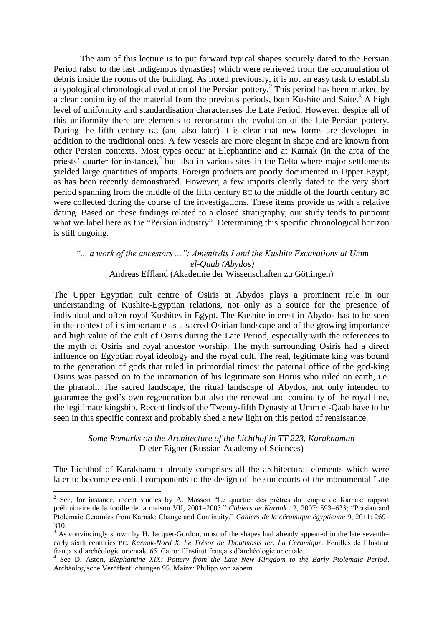The aim of this lecture is to put forward typical shapes securely dated to the Persian Period (also to the last indigenous dynasties) which were retrieved from the accumulation of debris inside the rooms of the building. As noted previously, it is not an easy task to establish a typological chronological evolution of the Persian pottery.<sup>2</sup> This period has been marked by a clear continuity of the material from the previous periods, both Kushite and Saite.<sup>3</sup> A high level of uniformity and standardisation characterises the Late Period. However, despite all of this uniformity there are elements to reconstruct the evolution of the late-Persian pottery. During the fifth century BC (and also later) it is clear that new forms are developed in addition to the traditional ones. A few vessels are more elegant in shape and are known from other Persian contexts. Most types occur at Elephantine and at Karnak (in the area of the priests' quarter for instance),<sup>4</sup> but also in various sites in the Delta where major settlements yielded large quantities of imports. Foreign products are poorly documented in Upper Egypt, as has been recently demonstrated. However, a few imports clearly dated to the very short period spanning from the middle of the fifth century BC to the middle of the fourth century BC were collected during the course of the investigations. These items provide us with a relative dating. Based on these findings related to a closed stratigraphy, our study tends to pinpoint what we label here as the "Persian industry". Determining this specific chronological horizon is still ongoing.

*"... a work of the ancestors ...": Amenirdis I and the Kushite Excavations at Umm el-Qaab (Abydos)* Andreas Effland (Akademie der Wissenschaften zu Göttingen)

The Upper Egyptian cult centre of Osiris at Abydos plays a prominent role in our understanding of Kushite-Egyptian relations, not only as a source for the presence of individual and often royal Kushites in Egypt. The Kushite interest in Abydos has to be seen in the context of its importance as a sacred Osirian landscape and of the growing importance and high value of the cult of Osiris during the Late Period, especially with the references to the myth of Osiris and royal ancestor worship. The myth surrounding Osiris had a direct influence on Egyptian royal ideology and the royal cult. The real, legitimate king was bound to the generation of gods that ruled in primordial times: the paternal office of the god-king Osiris was passed on to the incarnation of his legitimate son Horus who ruled on earth, i.e. the pharaoh. The sacred landscape, the ritual landscape of Abydos, not only intended to guarantee the god's own regeneration but also the renewal and continuity of the royal line, the legitimate kingship. Recent finds of the Twenty-fifth Dynasty at Umm el-Qaab have to be seen in this specific context and probably shed a new light on this period of renaissance.

> *Some Remarks on the Architecture of the Lichthof in TT 223, Karakhamun* Dieter Eigner (Russian Academy of Sciences)

The Lichthof of Karakhamun already comprises all the architectural elements which were later to become essential components to the design of the sun courts of the monumental Late

<u>.</u>

 $2$  See, for instance, recent studies by A. Masson "Le quartier des prêtres du temple de Karnak: rapport préliminaire de la fouille de la maison VII, 2001–2003." *Cahiers de Karnak* 12, 2007: 593–623; "Persian and Ptolemaic Ceramics from Karnak: Change and Continuity." *Cahiers de la céramique égyptienne* 9, 2011: 269– 310.

<sup>&</sup>lt;sup>3</sup> As convincingly shown by H. Jacquet-Gordon, most of the shapes had already appeared in the late seventh– early sixth centuries BC. *Karnak-Nord X. Le Trésor de Thoutmosis Ier. La Céramique*. Fouilles de l'Institut français d'archéologie orientale 65. Cairo: l'Institut français d'archéologie orientale.

<sup>4</sup> See D. Aston, *Elephantine XIX: Pottery from the Late New Kingdom to the Early Ptolemaic Period*. Archäologische Veröffentlichungen 95. Mainz: Philipp von zabern.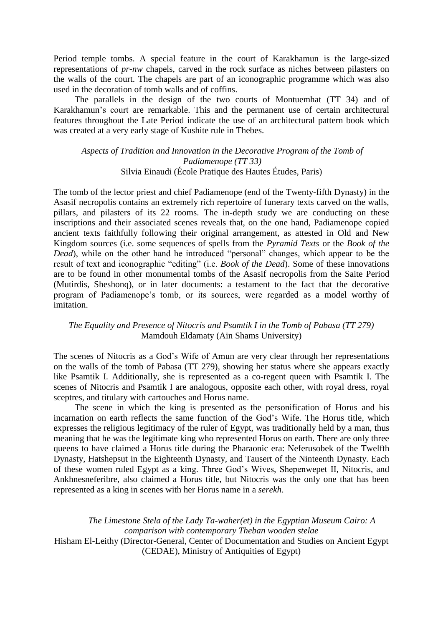Period temple tombs. A special feature in the court of Karakhamun is the large-sized representations of *pr-nw* chapels, carved in the rock surface as niches between pilasters on the walls of the court. The chapels are part of an iconographic programme which was also used in the decoration of tomb walls and of coffins.

The parallels in the design of the two courts of Montuemhat (TT 34) and of Karakhamun's court are remarkable. This and the permanent use of certain architectural features throughout the Late Period indicate the use of an architectural pattern book which was created at a very early stage of Kushite rule in Thebes.

*Aspects of Tradition and Innovation in the Decorative Program of the Tomb of Padiamenope (TT 33)* Silvia Einaudi (École Pratique des Hautes Études, Paris)

The tomb of the lector priest and chief Padiamenope (end of the Twenty-fifth Dynasty) in the Asasif necropolis contains an extremely rich repertoire of funerary texts carved on the walls, pillars, and pilasters of its 22 rooms. The in-depth study we are conducting on these inscriptions and their associated scenes reveals that, on the one hand, Padiamenope copied ancient texts faithfully following their original arrangement, as attested in Old and New Kingdom sources (i.e. some sequences of spells from the *Pyramid Texts* or the *Book of the Dead*), while on the other hand he introduced "personal" changes, which appear to be the result of text and iconographic "editing" (i.e. *Book of the Dead*). Some of these innovations are to be found in other monumental tombs of the Asasif necropolis from the Saite Period (Mutirdis, Sheshonq), or in later documents: a testament to the fact that the decorative program of Padiamenope's tomb, or its sources, were regarded as a model worthy of imitation.

#### *The Equality and Presence of Nitocris and Psamtik I in the Tomb of Pabasa (TT 279)* Mamdouh Eldamaty (Ain Shams University)

The scenes of Nitocris as a God's Wife of Amun are very clear through her representations on the walls of the tomb of Pabasa (TT 279), showing her status where she appears exactly like Psamtik I. Additionally, she is represented as a co-regent queen with Psamtik I. The scenes of Nitocris and Psamtik I are analogous, opposite each other, with royal dress, royal sceptres, and titulary with cartouches and Horus name.

The scene in which the king is presented as the personification of Horus and his incarnation on earth reflects the same function of the God's Wife. The Horus title, which expresses the religious legitimacy of the ruler of Egypt, was traditionally held by a man, thus meaning that he was the legitimate king who represented Horus on earth. There are only three queens to have claimed a Horus title during the Pharaonic era: Neferusobek of the Twelfth Dynasty, Hatshepsut in the Eighteenth Dynasty, and Tausert of the Ninteenth Dynasty. Each of these women ruled Egypt as a king. Three God's Wives, Shepenwepet II, Nitocris, and Ankhnesneferibre, also claimed a Horus title, but Nitocris was the only one that has been represented as a king in scenes with her Horus name in a *serekh*.

*The Limestone Stela of the Lady Ta-waher(et) in the Egyptian Museum Cairo: A comparison with contemporary Theban wooden stelae* Hisham El-Leithy (Director-General, Center of Documentation and Studies on Ancient Egypt (CEDAE), Ministry of Antiquities of Egypt)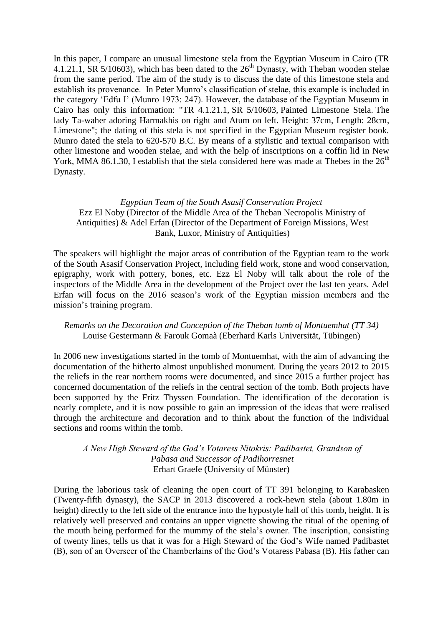In this paper, I compare an unusual limestone stela from the Egyptian Museum in Cairo (TR 4.1.21.1, SR 5/10603), which has been dated to the  $26<sup>th</sup>$  Dynasty, with Theban wooden stelae from the same period. The aim of the study is to discuss the date of this limestone stela and establish its provenance. In Peter Munro's classification of stelae, this example is included in the category ‗Edfu I' (Munro 1973: 247). However, the database of the Egyptian Museum in Cairo has only this information: "TR 4.1.21.1, SR 5/10603, Painted Limestone Stela. The lady Ta-waher adoring Harmakhis on right and Atum on left. Height: 37cm, Length: 28cm, Limestone"; the dating of this stela is not specified in the Egyptian Museum register book. Munro dated the stela to 620-570 B.C. By means of a stylistic and textual comparison with other limestone and wooden stelae, and with the help of inscriptions on a coffin lid in New York, MMA 86.1.30, I establish that the stela considered here was made at Thebes in the  $26<sup>th</sup>$ Dynasty.

# *Egyptian Team of the South Asasif Conservation Project* Ezz El Noby (Director of the Middle Area of the Theban Necropolis Ministry of Antiquities) & Adel Erfan (Director of the Department of Foreign Missions, West Bank, Luxor, Ministry of Antiquities)

The speakers will highlight the major areas of contribution of the Egyptian team to the work of the South Asasif Conservation Project, including field work, stone and wood conservation, epigraphy, work with pottery, bones, etc. Ezz El Noby will talk about the role of the inspectors of the Middle Area in the development of the Project over the last ten years. Adel Erfan will focus on the 2016 season's work of the Egyptian mission members and the mission's training program.

# *Remarks on the Decoration and Conception of the Theban tomb of Montuemhat (TT 34)* Louise Gestermann & Farouk Gomaà (Eberhard Karls Universität, Tübingen)

In 2006 new investigations started in the tomb of Montuemhat, with the aim of advancing the documentation of the hitherto almost unpublished monument. During the years 2012 to 2015 the reliefs in the rear northern rooms were documented, and since 2015 a further project has concerned documentation of the reliefs in the central section of the tomb. Both projects have been supported by the Fritz Thyssen Foundation. The identification of the decoration is nearly complete, and it is now possible to gain an impression of the ideas that were realised through the architecture and decoration and to think about the function of the individual sections and rooms within the tomb.

# *A New High Steward of the God's Votaress Nitokris: Padibastet, Grandson of Pabasa and Successor of Padihorresnet* Erhart Graefe (University of Münster)

During the laborious task of cleaning the open court of TT 391 belonging to Karabasken (Twenty-fifth dynasty), the SACP in 2013 discovered a rock-hewn stela (about 1.80m in height) directly to the left side of the entrance into the hypostyle hall of this tomb, height. It is relatively well preserved and contains an upper vignette showing the ritual of the opening of the mouth being performed for the mummy of the stela's owner. The inscription, consisting of twenty lines, tells us that it was for a High Steward of the God's Wife named Padibastet (B), son of an Overseer of the Chamberlains of the God's Votaress Pabasa (B). His father can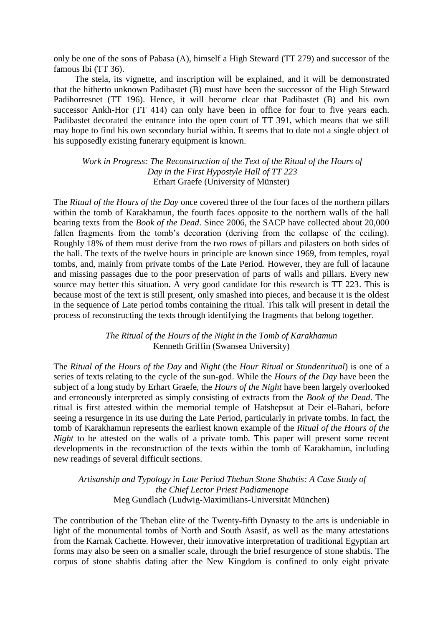only be one of the sons of Pabasa (A), himself a High Steward (TT 279) and successor of the famous Ibi (TT 36).

The stela, its vignette, and inscription will be explained, and it will be demonstrated that the hitherto unknown Padibastet (B) must have been the successor of the High Steward Padihorresnet (TT 196). Hence, it will become clear that Padibastet (B) and his own successor Ankh-Hor (TT 414) can only have been in office for four to five years each. Padibastet decorated the entrance into the open court of TT 391, which means that we still may hope to find his own secondary burial within. It seems that to date not a single object of his supposedly existing funerary equipment is known.

*Work in Progress: The Reconstruction of the Text of the Ritual of the Hours of Day in the First Hypostyle Hall of TT 223* Erhart Graefe (University of Münster)

The *Ritual of the Hours of the Day* once covered three of the four faces of the northern pillars within the tomb of Karakhamun, the fourth faces opposite to the northern walls of the hall bearing texts from the *Book of the Dead*. Since 2006, the SACP have collected about 20,000 fallen fragments from the tomb's decoration (deriving from the collapse of the ceiling). Roughly 18% of them must derive from the two rows of pillars and pilasters on both sides of the hall. The texts of the twelve hours in principle are known since 1969, from temples, royal tombs, and, mainly from private tombs of the Late Period. However, they are full of lacaune and missing passages due to the poor preservation of parts of walls and pillars. Every new source may better this situation. A very good candidate for this research is TT 223. This is because most of the text is still present, only smashed into pieces, and because it is the oldest in the sequence of Late period tombs containing the ritual. This talk will present in detail the process of reconstructing the texts through identifying the fragments that belong together.

> *The Ritual of the Hours of the Night in the Tomb of Karakhamun* Kenneth Griffin (Swansea University)

The *Ritual of the Hours of the Day* and *Night* (the *Hour Ritual* or *Stundenritual*) is one of a series of texts relating to the cycle of the sun-god. While the *Hours of the Day* have been the subject of a long study by Erhart Graefe, the *Hours of the Night* have been largely overlooked and erroneously interpreted as simply consisting of extracts from the *Book of the Dead*. The ritual is first attested within the memorial temple of Hatshepsut at Deir el-Bahari, before seeing a resurgence in its use during the Late Period, particularly in private tombs. In fact, the tomb of Karakhamun represents the earliest known example of the *Ritual of the Hours of the Night* to be attested on the walls of a private tomb. This paper will present some recent developments in the reconstruction of the texts within the tomb of Karakhamun, including new readings of several difficult sections.

*Artisanship and Typology in Late Period Theban Stone Shabtis: A Case Study of the Chief Lector Priest Padiamenope* Meg Gundlach (Ludwig-Maximilians-Universität München)

The contribution of the Theban elite of the Twenty-fifth Dynasty to the arts is undeniable in light of the monumental tombs of North and South Asasif, as well as the many attestations from the Karnak Cachette. However, their innovative interpretation of traditional Egyptian art forms may also be seen on a smaller scale, through the brief resurgence of stone shabtis. The corpus of stone shabtis dating after the New Kingdom is confined to only eight private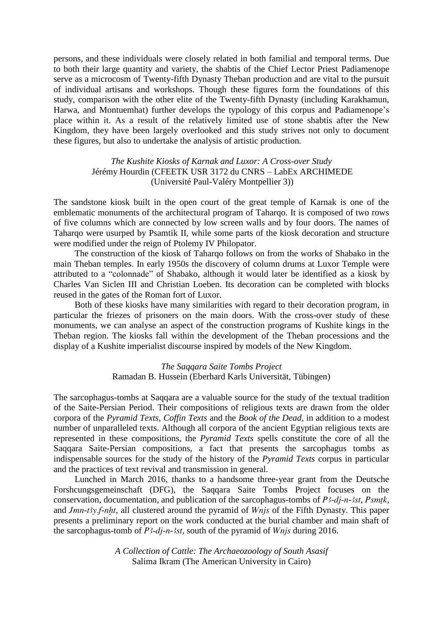persons, and these individuals were closely related in both familial and temporal terms. Due to both their large quantity and variety, the shabtis of the Chief Lector Priest Padiamenope serve as a microcosm of Twenty-fifth Dynasty Theban production and are vital to the pursuit of individual artisans and workshops. Though these figures form the foundations of this study, comparison with the other elite of the Twenty-fifth Dynasty (including Karakhamun, Harwa, and Montuemhat) further develops the typology of this corpus and Padiamenope's place within it. As a result of the relatively limited use of stone shabtis after the New Kingdom, they have been largely overlooked and this study strives not only to document these figures, but also to undertake the analysis of artistic production.

# *The Kushite Kiosks of Karnak and Luxor: A Cross-over Study*  Jérémy Hourdin (CFEETK USR 3172 du CNRS – LabEx ARCHIMEDE (Université Paul-Valéry Montpellier 3))

The sandstone kiosk built in the open court of the great temple of Karnak is one of the emblematic monuments of the architectural program of Taharqo. It is composed of two rows of five columns which are connected by low screen walls and by four doors. The names of Tahargo were usurped by Psamtik II, while some parts of the kiosk decoration and structure were modified under the reign of Ptolemy IV Philopator.

The construction of the kiosk of Taharqo follows on from the works of Shabako in the main Theban temples. In early 1950s the discovery of column drums at Luxor Temple were attributed to a "colonnade" of Shabako, although it would later be identified as a kiosk by Charles Van Siclen III and Christian Loeben. Its decoration can be completed with blocks reused in the gates of the Roman fort of Luxor.

Both of these kiosks have many similarities with regard to their decoration program, in particular the friezes of prisoners on the main doors. With the cross-over study of these monuments, we can analyse an aspect of the construction programs of Kushite kings in the Theban region. The kiosks fall within the development of the Theban processions and the display of a Kushite imperialist discourse inspired by models of the New Kingdom.

> *The Saqqara Saite Tombs Project* Ramadan B. Hussein (Eberhard Karls Universität, Tübingen)

The sarcophagus-tombs at Saqqara are a valuable source for the study of the textual tradition of the Saite-Persian Period. Their compositions of religious texts are drawn from the older corpora of the *Pyramid Texts*, *Coffin Texts* and the *Book of the Dead*, in addition to a modest number of unparalleled texts. Although all corpora of the ancient Egyptian religious texts are represented in these compositions, the *Pyramid Texts* spells constitute the core of all the Saqqara Saite-Persian compositions, a fact that presents the sarcophagus tombs as indispensable sources for the study of the history of the *Pyramid Texts* corpus in particular and the practices of text revival and transmission in general.

Lunched in March 2016, thanks to a handsome three-year grant from the Deutsche Forshcungsgemeinschaft (DFG), the Saqqara Saite Tombs Project focuses on the conservation, documentation, and publication of the sarcophagus-tombs of *P3-dj-n-3st*, *Psmtk*, and *Jmn-t'sy, f-nht*, all clustered around the pyramid of *Wnjs* of the Fifth Dynasty. This paper presents a preliminary report on the work conducted at the burial chamber and main shaft of the sarcophagus-tomb of *P<sub>3</sub>-dj-n-3st*, south of the pyramid of *Wnjs* during 2016.

> *A Collection of Cattle: The Archaeozoology of South Asasif* Salima Ikram (The American University in Cairo)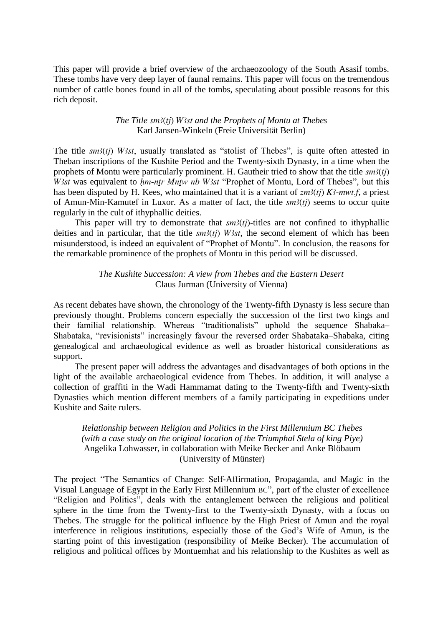This paper will provide a brief overview of the archaeozoology of the South Asasif tombs. These tombs have very deep layer of faunal remains. This paper will focus on the tremendous number of cattle bones found in all of the tombs, speculating about possible reasons for this rich deposit.

#### *The Title sm3(tj) W3st and the Prophets of Montu at Thebes* Karl Jansen-Winkeln (Freie Universität Berlin)

The title  $sm3(tj)$  W3st, usually translated as "stolist of Thebes", is quite often attested in Theban inscriptions of the Kushite Period and the Twenty-sixth Dynasty, in a time when the prophets of Montu were particularly prominent. H. Gautheir tried to show that the title  $sm3(tj)$ *W3st was equivalent to hm-ntr Mntw nb W3st "Prophet of Montu, Lord of Thebes", but this* has been disputed by H. Kees, who maintained that it is a variant of  $zm^3(t)$  K<sup>2</sup>-mwt.f, a priest of Amun-Min-Kamutef in Luxor. As a matter of fact, the title  $sm3(tj)$  seems to occur quite regularly in the cult of ithyphallic deities.

This paper will try to demonstrate that  $sm3(tj)$ -titles are not confined to ithyphallic deities and in particular, that the title  $sm3(ti)$  W<sub>3st</sub>, the second element of which has been misunderstood, is indeed an equivalent of "Prophet of Montu". In conclusion, the reasons for the remarkable prominence of the prophets of Montu in this period will be discussed.

#### *The Kushite Succession: A view from Thebes and the Eastern Desert* Claus Jurman (University of Vienna)

As recent debates have shown, the chronology of the Twenty-fifth Dynasty is less secure than previously thought. Problems concern especially the succession of the first two kings and their familial relationship. Whereas "traditionalists" uphold the sequence Shabaka– Shabataka, "revisionists" increasingly favour the reversed order Shabataka–Shabaka, citing genealogical and archaeological evidence as well as broader historical considerations as support.

The present paper will address the advantages and disadvantages of both options in the light of the available archaeological evidence from Thebes. In addition, it will analyse a collection of graffiti in the Wadi Hammamat dating to the Twenty-fifth and Twenty-sixth Dynasties which mention different members of a family participating in expeditions under Kushite and Saite rulers.

# *Relationship between Religion and Politics in the First Millennium BC Thebes (with a case study on the original location of the Triumphal Stela of king Piye)* Angelika Lohwasser, in collaboration with Meike Becker and Anke Blöbaum (University of Münster)

The project "The Semantics of Change: Self-Affirmation, Propaganda, and Magic in the Visual Language of Egypt in the Early First Millennium BC", part of the cluster of excellence "Religion and Politics", deals with the entanglement between the religious and political sphere in the time from the Twenty-first to the Twenty-sixth Dynasty, with a focus on Thebes. The struggle for the political influence by the High Priest of Amun and the royal interference in religious institutions, especially those of the God's Wife of Amun, is the starting point of this investigation (responsibility of Meike Becker). The accumulation of religious and political offices by Montuemhat and his relationship to the Kushites as well as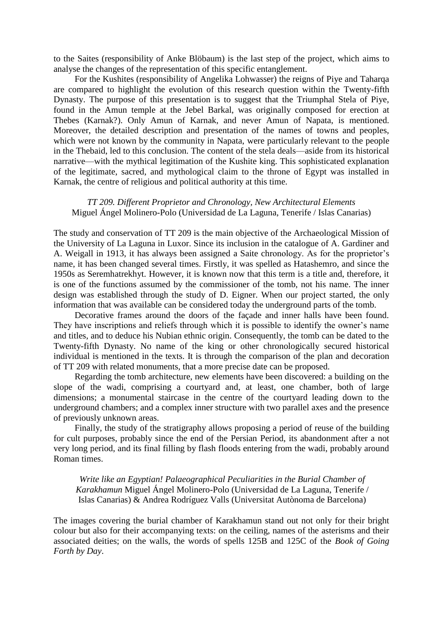to the Saites (responsibility of Anke Blöbaum) is the last step of the project, which aims to analyse the changes of the representation of this specific entanglement.

For the Kushites (responsibility of Angelika Lohwasser) the reigns of Piye and Taharqa are compared to highlight the evolution of this research question within the Twenty-fifth Dynasty. The purpose of this presentation is to suggest that the Triumphal Stela of Piye, found in the Amun temple at the Jebel Barkal, was originally composed for erection at Thebes (Karnak?). Only Amun of Karnak, and never Amun of Napata, is mentioned. Moreover, the detailed description and presentation of the names of towns and peoples, which were not known by the community in Napata, were particularly relevant to the people in the Thebaid, led to this conclusion. The content of the stela deals—aside from its historical narrative—with the mythical legitimation of the Kushite king. This sophisticated explanation of the legitimate, sacred, and mythological claim to the throne of Egypt was installed in Karnak, the centre of religious and political authority at this time.

#### *TT 209. Different Proprietor and Chronology, New Architectural Elements*  Miguel Ángel Molinero-Polo (Universidad de La Laguna, Tenerife / Islas Canarias)

The study and conservation of TT 209 is the main objective of the Archaeological Mission of the University of La Laguna in Luxor. Since its inclusion in the catalogue of A. Gardiner and A. Weigall in 1913, it has always been assigned a Saite chronology. As for the proprietor's name, it has been changed several times. Firstly, it was spelled as Hatashemro, and since the 1950s as Seremhatrekhyt. However, it is known now that this term is a title and, therefore, it is one of the functions assumed by the commissioner of the tomb, not his name. The inner design was established through the study of D. Eigner. When our project started, the only information that was available can be considered today the underground parts of the tomb.

Decorative frames around the doors of the façade and inner halls have been found. They have inscriptions and reliefs through which it is possible to identify the owner's name and titles, and to deduce his Nubian ethnic origin. Consequently, the tomb can be dated to the Twenty-fifth Dynasty. No name of the king or other chronologically secured historical individual is mentioned in the texts. It is through the comparison of the plan and decoration of TT 209 with related monuments, that a more precise date can be proposed.

Regarding the tomb architecture, new elements have been discovered: a building on the slope of the wadi, comprising a courtyard and, at least, one chamber, both of large dimensions; a monumental staircase in the centre of the courtyard leading down to the underground chambers; and a complex inner structure with two parallel axes and the presence of previously unknown areas.

Finally, the study of the stratigraphy allows proposing a period of reuse of the building for cult purposes, probably since the end of the Persian Period, its abandonment after a not very long period, and its final filling by flash floods entering from the wadi, probably around Roman times.

*Write like an Egyptian! Palaeographical Peculiarities in the Burial Chamber of Karakhamun* Miguel Ángel Molinero-Polo (Universidad de La Laguna, Tenerife / Islas Canarias) & Andrea Rodríguez Valls (Universitat Autònoma de Barcelona)

The images covering the burial chamber of Karakhamun stand out not only for their bright colour but also for their accompanying texts: on the ceiling, names of the asterisms and their associated deities; on the walls, the words of spells 125B and 125C of the *Book of Going Forth by Day*.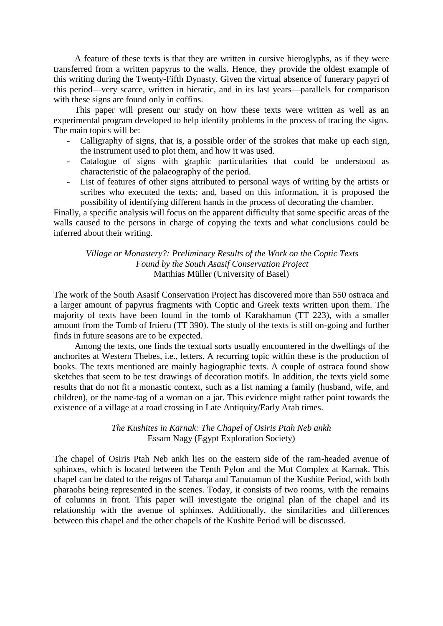A feature of these texts is that they are written in cursive hieroglyphs, as if they were transferred from a written papyrus to the walls. Hence, they provide the oldest example of this writing during the Twenty-Fifth Dynasty. Given the virtual absence of funerary papyri of this period—very scarce, written in hieratic, and in its last years—parallels for comparison with these signs are found only in coffins.

This paper will present our study on how these texts were written as well as an experimental program developed to help identify problems in the process of tracing the signs. The main topics will be:

- Calligraphy of signs, that is, a possible order of the strokes that make up each sign, the instrument used to plot them, and how it was used.
- Catalogue of signs with graphic particularities that could be understood as characteristic of the palaeography of the period.
- List of features of other signs attributed to personal ways of writing by the artists or scribes who executed the texts; and, based on this information, it is proposed the possibility of identifying different hands in the process of decorating the chamber.

Finally, a specific analysis will focus on the apparent difficulty that some specific areas of the walls caused to the persons in charge of copying the texts and what conclusions could be inferred about their writing.

*Village or Monastery?: Preliminary Results of the Work on the Coptic Texts Found by the South Asasif Conservation Project* Matthias Müller (University of Basel)

The work of the South Asasif Conservation Project has discovered more than 550 ostraca and a larger amount of papyrus fragments with Coptic and Greek texts written upon them. The majority of texts have been found in the tomb of Karakhamun (TT 223), with a smaller amount from the Tomb of Irtieru (TT 390). The study of the texts is still on-going and further finds in future seasons are to be expected.

Among the texts, one finds the textual sorts usually encountered in the dwellings of the anchorites at Western Thebes, i.e., letters. A recurring topic within these is the production of books. The texts mentioned are mainly hagiographic texts. A couple of ostraca found show sketches that seem to be test drawings of decoration motifs. In addition, the texts yield some results that do not fit a monastic context, such as a list naming a family (husband, wife, and children), or the name-tag of a woman on a jar. This evidence might rather point towards the existence of a village at a road crossing in Late Antiquity/Early Arab times.

> *The Kushites in Karnak: The Chapel of Osiris Ptah Neb ankh* Essam Nagy (Egypt Exploration Society)

The chapel of Osiris Ptah Neb ankh lies on the eastern side of the ram-headed avenue of sphinxes, which is located between the Tenth Pylon and the Mut Complex at Karnak. This chapel can be dated to the reigns of Taharqa and Tanutamun of the Kushite Period, with both pharaohs being represented in the scenes. Today, it consists of two rooms, with the remains of columns in front. This paper will investigate the original plan of the chapel and its relationship with the avenue of sphinxes. Additionally, the similarities and differences between this chapel and the other chapels of the Kushite Period will be discussed.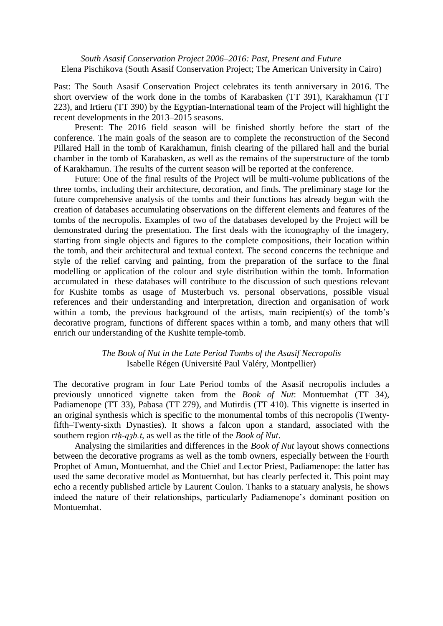*South Asasif Conservation Project 2006–2016: Past, Present and Future* Elena Pischikova (South Asasif Conservation Project; The American University in Cairo)

Past: The South Asasif Conservation Project celebrates its tenth anniversary in 2016. The short overview of the work done in the tombs of Karabasken (TT 391), Karakhamun (TT 223), and Irtieru (TT 390) by the Egyptian-International team of the Project will highlight the recent developments in the 2013–2015 seasons.

Present: The 2016 field season will be finished shortly before the start of the conference. The main goals of the season are to complete the reconstruction of the Second Pillared Hall in the tomb of Karakhamun, finish clearing of the pillared hall and the burial chamber in the tomb of Karabasken, as well as the remains of the superstructure of the tomb of Karakhamun. The results of the current season will be reported at the conference.

Future: One of the final results of the Project will be multi-volume publications of the three tombs, including their architecture, decoration, and finds. The preliminary stage for the future comprehensive analysis of the tombs and their functions has already begun with the creation of databases accumulating observations on the different elements and features of the tombs of the necropolis. Examples of two of the databases developed by the Project will be demonstrated during the presentation. The first deals with the iconography of the imagery, starting from single objects and figures to the complete compositions, their location within the tomb, and their architectural and textual context. The second concerns the technique and style of the relief carving and painting, from the preparation of the surface to the final modelling or application of the colour and style distribution within the tomb. Information accumulated in these databases will contribute to the discussion of such questions relevant for Kushite tombs as usage of Musterbuch vs. personal observations, possible visual references and their understanding and interpretation, direction and organisation of work within a tomb, the previous background of the artists, main recipient(s) of the tomb's decorative program, functions of different spaces within a tomb, and many others that will enrich our understanding of the Kushite temple-tomb.

# *The Book of Nut in the Late Period Tombs of the Asasif Necropolis* Isabelle Régen (Université Paul Valéry, Montpellier)

The decorative program in four Late Period tombs of the Asasif necropolis includes a previously unnoticed vignette taken from the *Book of Nut*: Montuemhat (TT 34), Padiamenope (TT 33), Pabasa (TT 279), and Mutirdis (TT 410). This vignette is inserted in an original synthesis which is specific to the monumental tombs of this necropolis (Twentyfifth–Twenty-sixth Dynasties). It shows a falcon upon a standard, associated with the southern region *rtḥ-qȝb.t*, as well as the title of the *Book of Nut*.

Analysing the similarities and differences in the *Book of Nut* layout shows connections between the decorative programs as well as the tomb owners, especially between the Fourth Prophet of Amun, Montuemhat, and the Chief and Lector Priest, Padiamenope: the latter has used the same decorative model as Montuemhat, but has clearly perfected it. This point may echo a recently published article by Laurent Coulon. Thanks to a statuary analysis, he shows indeed the nature of their relationships, particularly Padiamenope's dominant position on Montuemhat.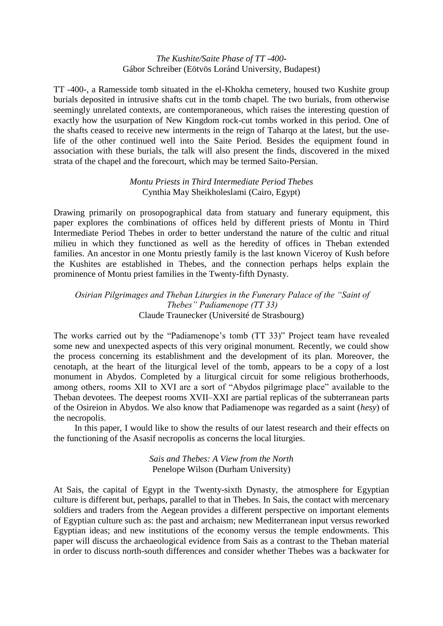#### *The Kushite/Saite Phase of TT -400-* Gábor Schreiber (Eötvös Loránd University, Budapest)

TT -400-, a Ramesside tomb situated in the el-Khokha cemetery, housed two Kushite group burials deposited in intrusive shafts cut in the tomb chapel. The two burials, from otherwise seemingly unrelated contexts, are contemporaneous, which raises the interesting question of exactly how the usurpation of New Kingdom rock-cut tombs worked in this period. One of the shafts ceased to receive new interments in the reign of Taharqo at the latest, but the uselife of the other continued well into the Saite Period. Besides the equipment found in association with these burials, the talk will also present the finds, discovered in the mixed strata of the chapel and the forecourt, which may be termed Saito-Persian.

# *Montu Priests in Third Intermediate Period Thebes* Cynthia May Sheikholeslami (Cairo, Egypt)

Drawing primarily on prosopographical data from statuary and funerary equipment, this paper explores the combinations of offices held by different priests of Montu in Third Intermediate Period Thebes in order to better understand the nature of the cultic and ritual milieu in which they functioned as well as the heredity of offices in Theban extended families. An ancestor in one Montu priestly family is the last known Viceroy of Kush before the Kushites are established in Thebes, and the connection perhaps helps explain the prominence of Montu priest families in the Twenty-fifth Dynasty.

# *Osirian Pilgrimages and Theban Liturgies in the Funerary Palace of the "Saint of Thebes" Padiamenope (TT 33)* Claude Traunecker (Université de Strasbourg)

The works carried out by the "Padiamenope's tomb (TT 33)" Project team have revealed some new and unexpected aspects of this very original monument. Recently, we could show the process concerning its establishment and the development of its plan. Moreover, the cenotaph, at the heart of the liturgical level of the tomb, appears to be a copy of a lost monument in Abydos. Completed by a liturgical circuit for some religious brotherhoods, among others, rooms XII to XVI are a sort of "Abydos pilgrimage place" available to the Theban devotees. The deepest rooms XVII–XXI are partial replicas of the subterranean parts of the Osireion in Abydos. We also know that Padiamenope was regarded as a saint (*hesy*) of the necropolis.

In this paper, I would like to show the results of our latest research and their effects on the functioning of the Asasif necropolis as concerns the local liturgies.

# *Sais and Thebes: A View from the North* Penelope Wilson (Durham University)

At Sais, the capital of Egypt in the Twenty-sixth Dynasty, the atmosphere for Egyptian culture is different but, perhaps, parallel to that in Thebes. In Sais, the contact with mercenary soldiers and traders from the Aegean provides a different perspective on important elements of Egyptian culture such as: the past and archaism; new Mediterranean input versus reworked Egyptian ideas; and new institutions of the economy versus the temple endowments. This paper will discuss the archaeological evidence from Sais as a contrast to the Theban material in order to discuss north-south differences and consider whether Thebes was a backwater for